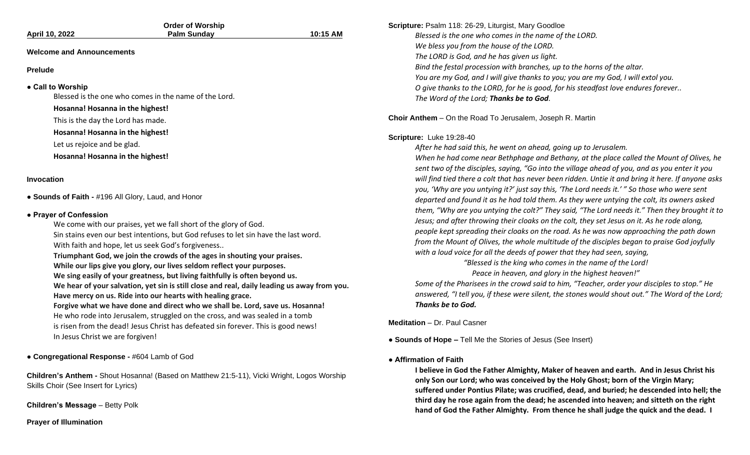| <b>April 10, 2022</b>                                      | <b>Order of Worship</b><br><b>Palm Sunday</b>                                                                                                                                                                                                                                                                                                                                                                                                                                                                                                                                                                                                                                                                                                                                                                                                                         | 10:15 AM |
|------------------------------------------------------------|-----------------------------------------------------------------------------------------------------------------------------------------------------------------------------------------------------------------------------------------------------------------------------------------------------------------------------------------------------------------------------------------------------------------------------------------------------------------------------------------------------------------------------------------------------------------------------------------------------------------------------------------------------------------------------------------------------------------------------------------------------------------------------------------------------------------------------------------------------------------------|----------|
| <b>Welcome and Announcements</b>                           |                                                                                                                                                                                                                                                                                                                                                                                                                                                                                                                                                                                                                                                                                                                                                                                                                                                                       |          |
| <b>Prelude</b>                                             |                                                                                                                                                                                                                                                                                                                                                                                                                                                                                                                                                                                                                                                                                                                                                                                                                                                                       |          |
| • Call to Worship                                          | Blessed is the one who comes in the name of the Lord.                                                                                                                                                                                                                                                                                                                                                                                                                                                                                                                                                                                                                                                                                                                                                                                                                 |          |
| Hosanna! Hosanna in the highest!                           |                                                                                                                                                                                                                                                                                                                                                                                                                                                                                                                                                                                                                                                                                                                                                                                                                                                                       |          |
| This is the day the Lord has made.                         |                                                                                                                                                                                                                                                                                                                                                                                                                                                                                                                                                                                                                                                                                                                                                                                                                                                                       |          |
| Hosanna! Hosanna in the highest!                           |                                                                                                                                                                                                                                                                                                                                                                                                                                                                                                                                                                                                                                                                                                                                                                                                                                                                       |          |
| Let us rejoice and be glad.                                |                                                                                                                                                                                                                                                                                                                                                                                                                                                                                                                                                                                                                                                                                                                                                                                                                                                                       |          |
| Hosanna! Hosanna in the highest!                           |                                                                                                                                                                                                                                                                                                                                                                                                                                                                                                                                                                                                                                                                                                                                                                                                                                                                       |          |
| <b>Invocation</b>                                          |                                                                                                                                                                                                                                                                                                                                                                                                                                                                                                                                                                                                                                                                                                                                                                                                                                                                       |          |
| • Sounds of Faith - #196 All Glory, Laud, and Honor        |                                                                                                                                                                                                                                                                                                                                                                                                                                                                                                                                                                                                                                                                                                                                                                                                                                                                       |          |
| • Prayer of Confession<br>In Jesus Christ we are forgiven! | We come with our praises, yet we fall short of the glory of God.<br>Sin stains even our best intentions, but God refuses to let sin have the last word.<br>With faith and hope, let us seek God's forgiveness<br>Triumphant God, we join the crowds of the ages in shouting your praises.<br>While our lips give you glory, our lives seldom reflect your purposes.<br>We sing easily of your greatness, but living faithfully is often beyond us.<br>We hear of your salvation, yet sin is still close and real, daily leading us away from you.<br>Have mercy on us. Ride into our hearts with healing grace.<br>Forgive what we have done and direct who we shall be. Lord, save us. Hosanna!<br>He who rode into Jerusalem, struggled on the cross, and was sealed in a tomb<br>is risen from the dead! Jesus Christ has defeated sin forever. This is good news! |          |

**● Congregational Response -** #604 Lamb of God

**Children's Anthem -** Shout Hosanna! (Based on Matthew 21:5-11), Vicki Wright, Logos Worship Skills Choir (See Insert for Lyrics)

**Children's Message** – Betty Polk

**Prayer of Illumination**

**Scripture:** Psalm 118: 26-29, Liturgist, Mary Goodloe *Blessed is the one who comes in the name of the LORD. We bless you from the house of the LORD. The LORD is God, and he has given us light. Bind the festal procession with branches, up to the horns of the altar. You are my God, and I will give thanks to you; you are my God, I will extol you. O give thanks to the LORD, for he is good, for his steadfast love endures forever.. The Word of the Lord; Thanks be to God.* 

**Choir Anthem** – On the Road To Jerusalem, Joseph R. Martin

## **Scripture:** Luke 19:28-40

*After he had said this, he went on ahead, going up to Jerusalem.*

*When he had come near Bethphage and Bethany, at the place called the Mount of Olives, he sent two of the disciples, saying, "Go into the village ahead of you, and as you enter it you will find tied there a colt that has never been ridden. Untie it and bring it here. If anyone asks you, 'Why are you untying it?' just say this, 'The Lord needs it.' " So those who were sent departed and found it as he had told them. As they were untying the colt, its owners asked them, "Why are you untying the colt?" They said, "The Lord needs it." Then they brought it to Jesus; and after throwing their cloaks on the colt, they set Jesus on it. As he rode along, people kept spreading their cloaks on the road. As he was now approaching the path down from the Mount of Olives, the whole multitude of the disciples began to praise God joyfully with a loud voice for all the deeds of power that they had seen, saying,*

> *"Blessed is the king who comes in the name of the Lord! Peace in heaven, and glory in the highest heaven!"*

*Some of the Pharisees in the crowd said to him, "Teacher, order your disciples to stop." He answered, "I tell you, if these were silent, the stones would shout out." The Word of the Lord; Thanks be to God.*

**Meditation** – Dr. Paul Casner

**● Sounds of Hope –** Tell Me the Stories of Jesus (See Insert)

## **● Affirmation of Faith**

**I believe in God the Father Almighty, Maker of heaven and earth. And in Jesus Christ his only Son our Lord; who was conceived by the Holy Ghost; born of the Virgin Mary; suffered under Pontius Pilate; was crucified, dead, and buried; he descended into hell; the third day he rose again from the dead; he ascended into heaven; and sitteth on the right hand of God the Father Almighty. From thence he shall judge the quick and the dead. I**